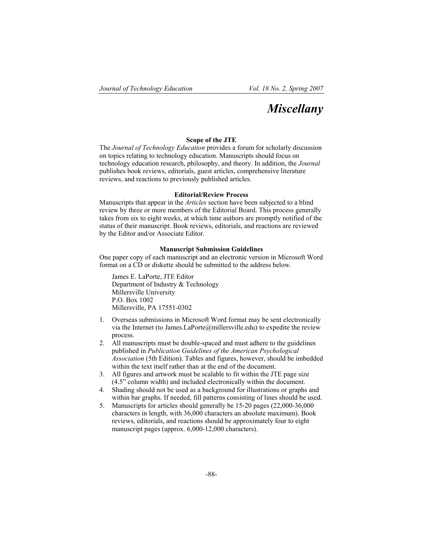# *Miscellany*

### **Scope of the JTE**

The *Journal of Technology Education* provides a forum for scholarly discussion on topics relating to technology education. Manuscripts should focus on technology education research, philosophy, and theory. In addition, the *Journal* publishes book reviews, editorials, guest articles, comprehensive literature reviews, and reactions to previously published articles.

#### **Editorial/Review Process**

Manuscripts that appear in the *Articles* section have been subjected to a blind review by three or more members of the Editorial Board. This process generally takes from six to eight weeks, at which time authors are promptly notified of the status of their manuscript. Book reviews, editorials, and reactions are reviewed by the Editor and/or Associate Editor.

### **Manuscript Submission Guidelines**

One paper copy of each manuscript and an electronic version in Microsoft Word format on a CD or diskette should be submitted to the address below.

James E. LaPorte, JTE Editor Department of Industry & Technology Millersville University P.O. Box 1002 Millersville, PA 17551-0302

- 1. Overseas submissions in Microsoft Word format may be sent electronically via the Internet (to James.LaPorte@millersville.edu) to expedite the review process.
- 2. All manuscripts must be double-spaced and must adhere to the guidelines published in *Publication Guidelines of the American Psychological Association* (5th Edition). Tables and figures, however, should be imbedded within the text itself rather than at the end of the document.
- 3. All figures and artwork must be scalable to fit within the JTE page size (4.5" column width) and included electronically within the document.
- 4. Shading should not be used as a background for illustrations or graphs and within bar graphs. If needed, fill patterns consisting of lines should be used.
- 5. Manuscripts for articles should generally be 15-20 pages (22,000-36,000 characters in length, with 36,000 characters an absolute maximum). Book reviews, editorials, and reactions should be approximately four to eight manuscript pages (approx. 6,000-12,000 characters).